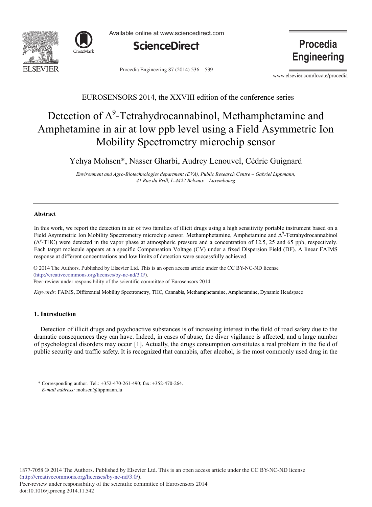



Available online at www.sciencedirect.com



Procedia Engineering 87 (2014) 536 - 539

**Procedia Engineering** 

www.elsevier.com/locate/procedia

# EUROSENSORS 2014, the XXVIII edition of the conference series

# Detection of  $\Delta^9$ -Tetrahydrocannabinol, Methamphetamine and Amphetamine in air at low ppb level using a Field Asymmetric Ion Mobility Spectrometry microchip sensor

Yehya Mohsen\*, Nasser Gharbi, Audrey Lenouvel, Cédric Guignard

*Environment and Agro-Biotechnologies department (EVA), Public Research Centre – Gabriel Lippmann, 41 Rue du Brill, L-4422 Belvaux – Luxembourg*

#### **Abstract**

In this work, we report the detection in air of two families of illicit drugs using a high sensitivity portable instrument based on a Field Asymmetric Ion Mobility Spectrometry microchip sensor. Methamphetamine, Amphetamine and Δ<sup>9</sup>-Tetrahydrocannabinol  $(\Delta^9$ -THC) were detected in the vapor phase at atmospheric pressure and a concentration of 12.5, 25 and 65 ppb, respectively. Each target molecule appears at a specific Compensation Voltage (CV) under a fixed Dispersion Field (DF). A linear FAIMS response at different concentrations and low limits of detection were successfully achieved.

© 2014 The Authors. Published by Elsevier Ltd. (http://creativecommons.org/licenses/by-nc-nd/3.0/). Peer-review under responsibility of the scientific committee of Eurosensors 2014. Peer-review under responsibility of the scientific committee of Eurosensors 2014© 2014 The Authors. Published by Elsevier Ltd. This is an open access article under the CC BY-NC-ND license

*Keywords:* FAIMS, Differential Mobility Spectrometry, THC, Cannabis, Methamphetamine, Amphetamine, Dynamic Headspace

# **1. Introduction**

Detection of illicit drugs and psychoactive substances is of increasing interest in the field of road safety due to the dramatic consequences they can have. Indeed, in cases of abuse, the diver vigilance is affected, and a large number of psychological disorders may occur [1]. Actually, the drugs consumption constitutes a real problem in the field of public security and traffic safety. It is recognized that cannabis, after alcohol, is the most commonly used drug in the

<sup>\*</sup> Corresponding author. Tel.: +352-470-261-490; fax: +352-470-264. *E-mail address:* mohsen@lippmann.lu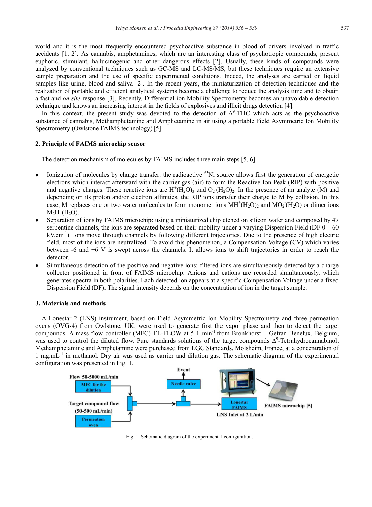world and it is the most frequently encountered psychoactive substance in blood of drivers involved in traffic accidents [1, 2]. As cannabis, amphetamines, which are an interesting class of psychotropic compounds, present euphoric, stimulant, hallucinogenic and other dangerous effects [2]. Usually, these kinds of compounds were analyzed by conventional techniques such as GC-MS and LC-MS/MS, but these techniques require an extensive sample preparation and the use of specific experimental conditions. Indeed, the analyses are carried on liquid samples like urine, blood and saliva [2]. In the recent years, the miniaturization of detection techniques and the realization of portable and efficient analytical systems become a challenge to reduce the analysis time and to obtain a fast and *on-site* response [3]. Recently, Differential ion Mobility Spectrometry becomes an unavoidable detection technique and knows an increasing interest in the fields of explosives and illicit drugs detection [4].

In this context, the present study was devoted to the detection of  $\Delta^9$ -THC which acts as the psychoactive substance of cannabis, Methamphetamine and Amphetamine in air using a portable Field Asymmetric Ion Mobility Spectrometry (Owlstone FAIMS technology) [5].

## **2. Principle of FAIMS microchip sensor**

The detection mechanism of molecules by FAIMS includes three main steps [5, 6].

- Ionization of molecules by charge transfer: the radioactive  $^{63}$ Ni source allows first the generation of energetic electrons which interact afterward with the carrier gas (air) to form the Reactive Ion Peak (RIP) with positive and negative charges. These reactive ions are  $H^+(H_2O)_3$  and  $O_2(H_2O)_2$ . In the presence of an analyte (M) and depending on its proton and/or electron affinities, the RIP ions transfer their charge to M by collision. In this case, M replaces one or two water molecules to form monomer ions  $MH^+(H_2O)_2$  and  $MO_2(H_2O)$  or dimer ions  $M_2H^+(H_2O)$ .
- Separation of ions by FAIMS microchip: using a miniaturized chip etched on silicon wafer and composed by 47 serpentine channels, the ions are separated based on their mobility under a varying Dispersion Field (DF  $0 - 60$ ) kV.cm-1). Ions move through channels by following different trajectories. Due to the presence of high electric field, most of the ions are neutralized. To avoid this phenomenon, a Compensation Voltage (CV) which varies between -6 and +6 V is swept across the channels. It allows ions to shift trajectories in order to reach the detector.
- Simultaneous detection of the positive and negative ions: filtered ions are simultaneously detected by a charge collector positioned in front of FAIMS microchip. Anions and cations are recorded simultaneously, which generates spectra in both polarities. Each detected ion appears at a specific Compensation Voltage under a fixed Dispersion Field (DF). The signal intensity depends on the concentration of ion in the target sample.

## **3. Materials and methods**

A Lonestar 2 (LNS) instrument, based on Field Asymmetric Ion Mobility Spectrometry and three permeation ovens (OVG-4) from Owlstone, UK, were used to generate first the vapor phase and then to detect the target compounds. A mass flow controller (MFC) EL-FLOW at 5 L.min<sup>-1</sup> from Bronkhorst – Gefran Benelux, Belgium, was used to control the diluted flow. Pure standards solutions of the target compounds  $\Delta^9$ -Tetrahydrocannabinol, Methamphetamine and Amphetamine were purchased from LGC Standards, Molsheim, France, at a concentration of 1 mg.mL<sup>-1</sup> in methanol. Dry air was used as carrier and dilution gas. The schematic diagram of the experimental configuration was presented in Fig. 1.



Fig. 1. Schematic diagram of the experimental configuration.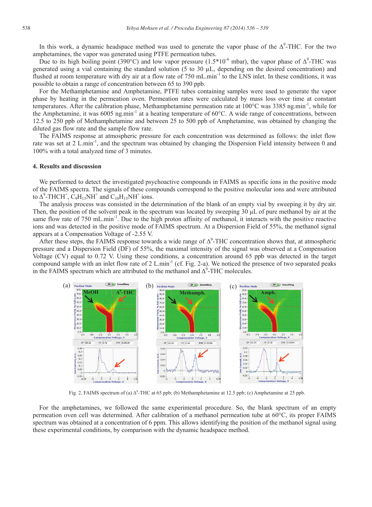In this work, a dynamic headspace method was used to generate the vapor phase of the  $\Delta^9$ -THC. For the two amphetamines, the vapor was generated using PTFE permeation tubes.

Due to its high boiling point (390°C) and low vapor pressure (1.5\*10<sup>-6</sup> mbar), the vapor phase of  $\Delta^9$ -THC was generated using a vial containing the standard solution (5 to 30  $\mu$ L, depending on the desired concentration) and flushed at room temperature with dry air at a flow rate of 750 mL.min<sup>-1</sup> to the LNS inlet. In these conditions, it was possible to obtain a range of concentration between 65 to 390 ppb.

For the Methamphetamine and Amphetamine, PTFE tubes containing samples were used to generate the vapor phase by heating in the permeation oven. Permeation rates were calculated by mass loss over time at constant temperatures. After the calibration phase, Methamphetamine permeation rate at 100°C was 3385 ng.min-1, while for the Amphetamine, it was 6005 ng.min<sup>-1</sup> at a heating temperature of 60 $^{\circ}$ C. A wide range of concentrations, between 12.5 to 250 ppb of Methamphetamine and between 25 to 500 ppb of Amphetamine, was obtained by changing the diluted gas flow rate and the sample flow rate.

The FAIMS response at atmospheric pressure for each concentration was determined as follows: the inlet flow rate was set at 2 L.min-1, and the spectrum was obtained by changing the Dispersion Field intensity between 0 and 100% with a total analyzed time of 3 minutes.

#### **4. Results and discussion**

We performed to detect the investigated psychoactive compounds in FAIMS as specific ions in the positive mode of the FAIMS spectra. The signals of these compounds correspond to the positive molecular ions and were attributed to  $\Delta^9$ -THCH<sup>+</sup>,  $\dot{C}_9H_{13}NH^+$  and  $C_{10}H_{15}NH^+$  ions.

The analysis process was consisted in the determination of the blank of an empty vial by sweeping it by dry air. Then, the position of the solvent peak in the spectrum was located by sweeping 30 μL of pure methanol by air at the same flow rate of 750 mL.min<sup>-1</sup>. Due to the high proton affinity of methanol, it interacts with the positive reactive ions and was detected in the positive mode of FAIMS spectrum. At a Dispersion Field of 55%, the methanol signal appears at a Compensation Voltage of -2.55 V.

After these steps, the FAIMS response towards a wide range of  $\Delta^9$ -THC concentration shows that, at atmospheric pressure and a Dispersion Field (DF) of 55%, the maximal intensity of the signal was observed at a Compensation Voltage (CV) equal to 0.72 V. Using these conditions, a concentration around 65 ppb was detected in the target compound sample with an inlet flow rate of 2 L.min-1 (cf. Fig. 2-a). We noticed the presence of two separated peaks in the FAIMS spectrum which are attributed to the methanol and  $\Delta^9$ -THC molecules.



Fig. 2. FAIMS spectrum of (a)  $\Delta^9$ -THC at 65 ppb; (b) Methamphetamine at 12.5 ppb; (c) Amphetamine at 25 ppb.

For the amphetamines, we followed the same experimental procedure. So, the blank spectrum of an empty permeation oven cell was determined. After calibration of a methanol permeation tube at 60°C, its proper FAIMS spectrum was obtained at a concentration of 6 ppm. This allows identifying the position of the methanol signal using these experimental conditions, by comparison with the dynamic headspace method.